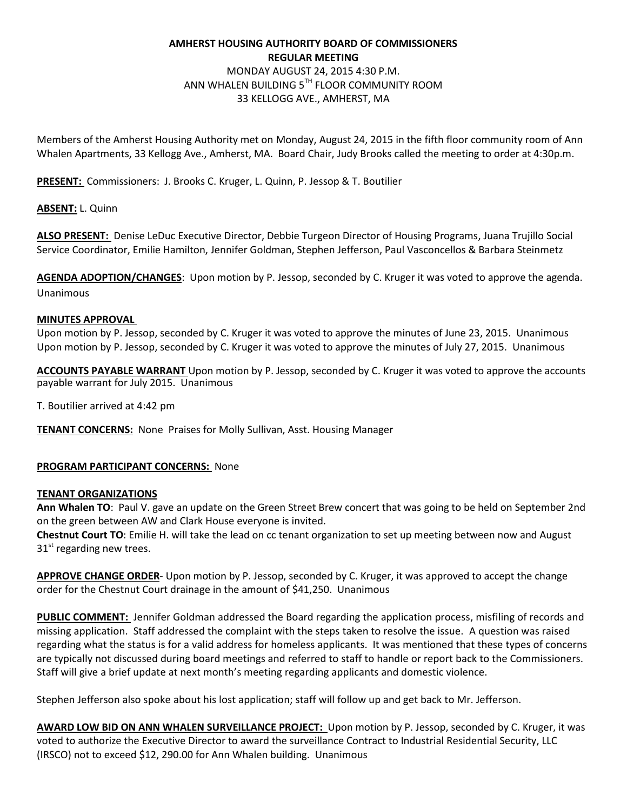# **AMHERST HOUSING AUTHORITY BOARD OF COMMISSIONERS REGULAR MEETING**  MONDAY AUGUST 24, 2015 4:30 P.M. ANN WHALEN BUILDING 5TH FLOOR COMMUNITY ROOM 33 KELLOGG AVE., AMHERST, MA

Members of the Amherst Housing Authority met on Monday, August 24, 2015 in the fifth floor community room of Ann Whalen Apartments, 33 Kellogg Ave., Amherst, MA. Board Chair, Judy Brooks called the meeting to order at 4:30p.m.

**PRESENT:** Commissioners: J. Brooks C. Kruger, L. Quinn, P. Jessop & T. Boutilier

### **ABSENT:** L. Quinn

**ALSO PRESENT:** Denise LeDuc Executive Director, Debbie Turgeon Director of Housing Programs, Juana Trujillo Social Service Coordinator, Emilie Hamilton, Jennifer Goldman, Stephen Jefferson, Paul Vasconcellos & Barbara Steinmetz

**AGENDA ADOPTION/CHANGES**: Upon motion by P. Jessop, seconded by C. Kruger it was voted to approve the agenda. Unanimous

#### **MINUTES APPROVAL**

Upon motion by P. Jessop, seconded by C. Kruger it was voted to approve the minutes of June 23, 2015. Unanimous Upon motion by P. Jessop, seconded by C. Kruger it was voted to approve the minutes of July 27, 2015. Unanimous

**ACCOUNTS PAYABLE WARRANT** Upon motion by P. Jessop, seconded by C. Kruger it was voted to approve the accounts payable warrant for July 2015. Unanimous

T. Boutilier arrived at 4:42 pm

**TENANT CONCERNS:** None Praises for Molly Sullivan, Asst. Housing Manager

#### **PROGRAM PARTICIPANT CONCERNS:** None

#### **TENANT ORGANIZATIONS**

**Ann Whalen TO**: Paul V. gave an update on the Green Street Brew concert that was going to be held on September 2nd on the green between AW and Clark House everyone is invited.

**Chestnut Court TO**: Emilie H. will take the lead on cc tenant organization to set up meeting between now and August  $31<sup>st</sup>$  regarding new trees.

**APPROVE CHANGE ORDER**- Upon motion by P. Jessop, seconded by C. Kruger, it was approved to accept the change order for the Chestnut Court drainage in the amount of \$41,250. Unanimous

**PUBLIC COMMENT:** Jennifer Goldman addressed the Board regarding the application process, misfiling of records and missing application. Staff addressed the complaint with the steps taken to resolve the issue. A question was raised regarding what the status is for a valid address for homeless applicants. It was mentioned that these types of concerns are typically not discussed during board meetings and referred to staff to handle or report back to the Commissioners. Staff will give a brief update at next month's meeting regarding applicants and domestic violence.

Stephen Jefferson also spoke about his lost application; staff will follow up and get back to Mr. Jefferson.

**AWARD LOW BID ON ANN WHALEN SURVEILLANCE PROJECT:** Upon motion by P. Jessop, seconded by C. Kruger, it was voted to authorize the Executive Director to award the surveillance Contract to Industrial Residential Security, LLC (IRSCO) not to exceed \$12, 290.00 for Ann Whalen building. Unanimous